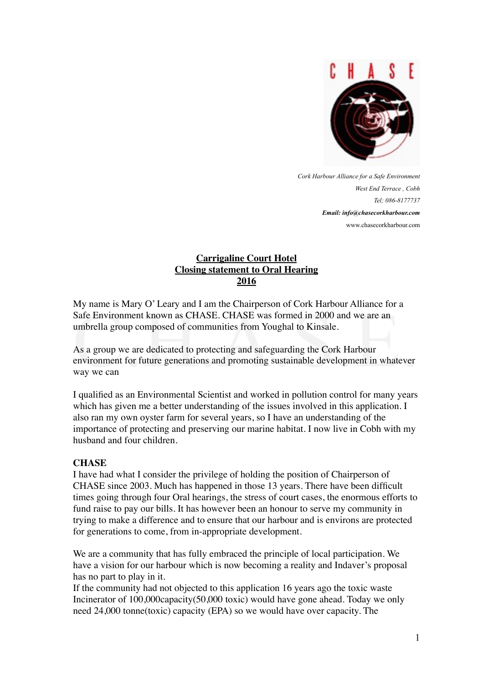

*Cork Harbour Alliance for a Safe Environment West End Terrace , Cobh Tel; 086-8177737 Email: info@chasecorkharbour.com* www.chasecorkharbour.com

# **Carrigaline Court Hotel Closing statement to Oral Hearing 2016**

My name is Mary O' Leary and I am the Chairperson of Cork Harbour Alliance for a umbrella group composed of communities from Youghal to Kinsale.

Example 18 Mary O' Leary and 1 am the enamperson of Cork Harbour Amance for a<br>Safe Environment known as CHASE. CHASE was formed in 2000 and we are an<br>umbrella group composed of communities from Youghal to Kinsale.<br>As a gro As a group we are dedicated to protecting and safeguarding the Cork Harbour environment for future generations and promoting sustainable development in whatever way we can

I qualified as an Environmental Scientist and worked in pollution control for many years which has given me a better understanding of the issues involved in this application. I also ran my own oyster farm for several years, so I have an understanding of the importance of protecting and preserving our marine habitat. I now live in Cobh with my husband and four children.

## **CHASE**

I have had what I consider the privilege of holding the position of Chairperson of CHASE since 2003. Much has happened in those 13 years. There have been difficult times going through four Oral hearings, the stress of court cases, the enormous efforts to fund raise to pay our bills. It has however been an honour to serve my community in trying to make a difference and to ensure that our harbour and is environs are protected for generations to come, from in-appropriate development.

We are a community that has fully embraced the principle of local participation. We have a vision for our harbour which is now becoming a reality and Indaver's proposal has no part to play in it.

If the community had not objected to this application 16 years ago the toxic waste Incinerator of 100,000capacity(50,000 toxic) would have gone ahead. Today we only need 24,000 tonne(toxic) capacity (EPA) so we would have over capacity. The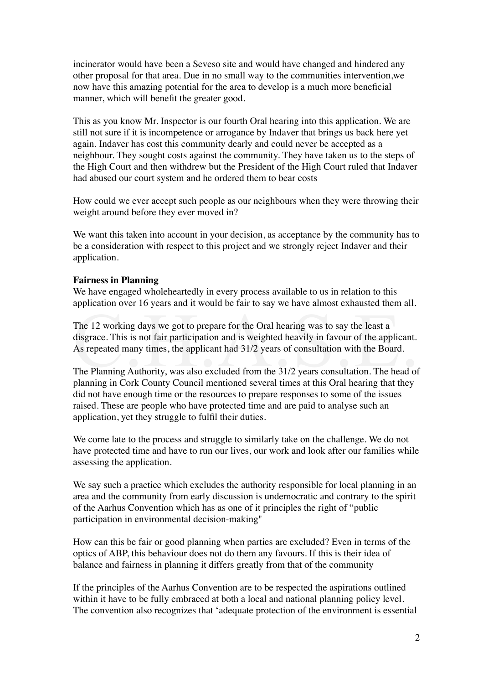incinerator would have been a Seveso site and would have changed and hindered any other proposal for that area. Due in no small way to the communities intervention,we now have this amazing potential for the area to develop is a much more beneficial manner, which will benefit the greater good.

This as you know Mr. Inspector is our fourth Oral hearing into this application. We are still not sure if it is incompetence or arrogance by Indaver that brings us back here yet again. Indaver has cost this community dearly and could never be accepted as a neighbour. They sought costs against the community. They have taken us to the steps of the High Court and then withdrew but the President of the High Court ruled that Indaver had abused our court system and he ordered them to bear costs

How could we ever accept such people as our neighbours when they were throwing their weight around before they ever moved in?

We want this taken into account in your decision, as acceptance by the community has to be a consideration with respect to this project and we strongly reject Indaver and their application.

## **Fairness in Planning**

We have engaged wholeheartedly in every process available to us in relation to this application over 16 years and it would be fair to say we have almost exhausted them all.

The 12 working days we got to prepare for the Oral hearing was to say the least a disgrace. This is not fair participation and is weighted heavily in favour of the applicant.<br>As repeated many times, the applicant had 31/2 The 12 working days we got to prepare for the Oral hearing was to say the least a disgrace. This is not fair participation and is weighted heavily in favour of the applicant. As repeated many times, the applicant had 31/2 years of consultation with the Board.

The Planning Authority, was also excluded from the 31/2 years consultation. The head of planning in Cork County Council mentioned several times at this Oral hearing that they did not have enough time or the resources to prepare responses to some of the issues raised. These are people who have protected time and are paid to analyse such an application, yet they struggle to fulfil their duties.

We come late to the process and struggle to similarly take on the challenge. We do not have protected time and have to run our lives, our work and look after our families while assessing the application.

We say such a practice which excludes the authority responsible for local planning in an area and the community from early discussion is undemocratic and contrary to the spirit of the Aarhus Convention which has as one of it principles the right of "public participation in environmental decision-making"

How can this be fair or good planning when parties are excluded? Even in terms of the optics of ABP, this behaviour does not do them any favours. If this is their idea of balance and fairness in planning it differs greatly from that of the community

If the principles of the Aarhus Convention are to be respected the aspirations outlined within it have to be fully embraced at both a local and national planning policy level. The convention also recognizes that 'adequate protection of the environment is essential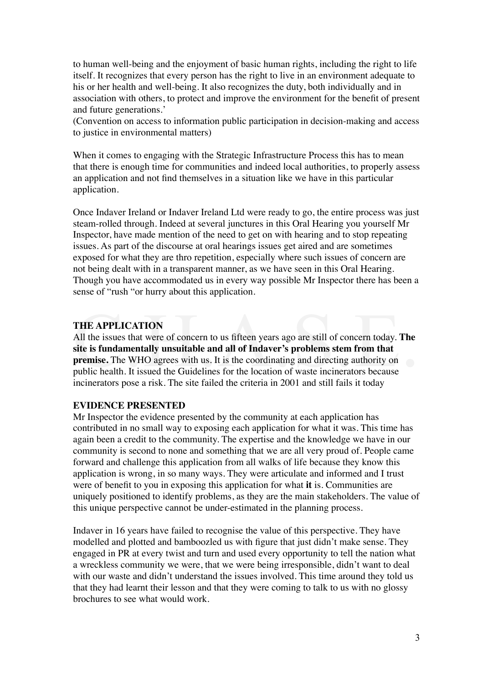to human well-being and the enjoyment of basic human rights, including the right to life itself. It recognizes that every person has the right to live in an environment adequate to his or her health and well-being. It also recognizes the duty, both individually and in association with others, to protect and improve the environment for the benefit of present and future generations.'

(Convention on access to information public participation in decision-making and access to justice in environmental matters)

When it comes to engaging with the Strategic Infrastructure Process this has to mean that there is enough time for communities and indeed local authorities, to properly assess an application and not find themselves in a situation like we have in this particular application.

Once Indaver Ireland or Indaver Ireland Ltd were ready to go, the entire process was just steam-rolled through. Indeed at several junctures in this Oral Hearing you yourself Mr Inspector, have made mention of the need to get on with hearing and to stop repeating issues. As part of the discourse at oral hearings issues get aired and are sometimes exposed for what they are thro repetition, especially where such issues of concern are not being dealt with in a transparent manner, as we have seen in this Oral Hearing. Though you have accommodated us in every way possible Mr Inspector there has been a sense of "rush "or hurry about this application.

## **THE APPLICATION**

THE APPLICATION<br>All the issues that were of concern to us fifteen years ago are still of concern today. The<br>site is fundamentally unsuitable and all of Indaver's problems stem from that<br>premise. The WHO agrees with us. It All the issues that were of concern to us fifteen years ago are still of concern today. **The site is fundamentally unsuitable and all of Indaver's problems stem from that premise.** The WHO agrees with us. It is the coordinating and directing authority on public health. It issued the Guidelines for the location of waste incinerators because incinerators pose a risk. The site failed the criteria in 2001 and still fails it today

## **EVIDENCE PRESENTED**

Mr Inspector the evidence presented by the community at each application has contributed in no small way to exposing each application for what it was. This time has again been a credit to the community. The expertise and the knowledge we have in our community is second to none and something that we are all very proud of. People came forward and challenge this application from all walks of life because they know this application is wrong, in so many ways. They were articulate and informed and I trust were of benefit to you in exposing this application for what **it** is. Communities are uniquely positioned to identify problems, as they are the main stakeholders. The value of this unique perspective cannot be under-estimated in the planning process.

Indaver in 16 years have failed to recognise the value of this perspective. They have modelled and plotted and bamboozled us with figure that just didn't make sense. They engaged in PR at every twist and turn and used every opportunity to tell the nation what a wreckless community we were, that we were being irresponsible, didn't want to deal with our waste and didn't understand the issues involved. This time around they told us that they had learnt their lesson and that they were coming to talk to us with no glossy brochures to see what would work.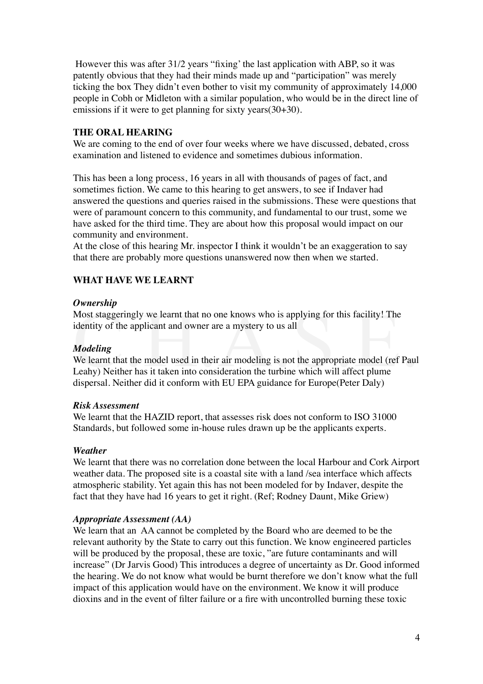However this was after 31/2 years "fixing' the last application with ABP, so it was patently obvious that they had their minds made up and "participation" was merely ticking the box They didn't even bother to visit my community of approximately 14,000 people in Cobh or Midleton with a similar population, who would be in the direct line of emissions if it were to get planning for sixty years(30+30).

## **THE ORAL HEARING**

We are coming to the end of over four weeks where we have discussed, debated, cross examination and listened to evidence and sometimes dubious information.

This has been a long process, 16 years in all with thousands of pages of fact, and sometimes fiction. We came to this hearing to get answers, to see if Indaver had answered the questions and queries raised in the submissions. These were questions that were of paramount concern to this community, and fundamental to our trust, some we have asked for the third time. They are about how this proposal would impact on our community and environment.

At the close of this hearing Mr. inspector I think it wouldn't be an exaggeration to say that there are probably more questions unanswered now then when we started.

# **WHAT HAVE WE LEARNT**

## *Ownership*

Most staggeringly we learnt that no one knows who is applying for this facility! The identity of the applicant and owner are a mystery to us all

## *Modeling*

Sweetship<br>Most staggeringly we learnt that no one knows who is applying for this facility! The<br>identity of the applicant and owner are a mystery to us all<br>Modeling<br>We learnt that the model used in their air modeling is not We learnt that the model used in their air modeling is not the appropriate model (ref Paul Leahy) Neither has it taken into consideration the turbine which will affect plume dispersal. Neither did it conform with EU EPA guidance for Europe(Peter Daly)

## *Risk Assessment*

We learnt that the HAZID report, that assesses risk does not conform to ISO 31000 Standards, but followed some in-house rules drawn up be the applicants experts.

## *Weather*

We learnt that there was no correlation done between the local Harbour and Cork Airport weather data. The proposed site is a coastal site with a land /sea interface which affects atmospheric stability. Yet again this has not been modeled for by Indaver, despite the fact that they have had 16 years to get it right. (Ref; Rodney Daunt, Mike Griew)

## *Appropriate Assessment (AA)*

We learn that an AA cannot be completed by the Board who are deemed to be the relevant authority by the State to carry out this function. We know engineered particles will be produced by the proposal, these are toxic, "are future contaminants and will increase" (Dr Jarvis Good) This introduces a degree of uncertainty as Dr. Good informed the hearing. We do not know what would be burnt therefore we don't know what the full impact of this application would have on the environment. We know it will produce dioxins and in the event of filter failure or a fire with uncontrolled burning these toxic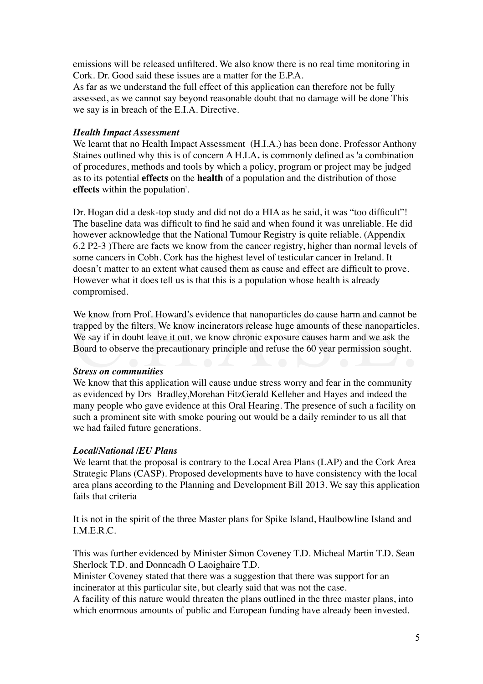emissions will be released unfiltered. We also know there is no real time monitoring in Cork. Dr. Good said these issues are a matter for the E.P.A.

As far as we understand the full effect of this application can therefore not be fully assessed, as we cannot say beyond reasonable doubt that no damage will be done This we say is in breach of the E.I.A. Directive.

## *Health Impact Assessment*

We learnt that no Health Impact Assessment (H.I.A.) has been done. Professor Anthony Staines outlined why this is of concern A H.I.A**.** is commonly defined as 'a combination of procedures, methods and tools by which a policy, program or project may be judged as to its potential **effects** on the **health** of a population and the distribution of those **effects** within the population'.

Dr. Hogan did a desk-top study and did not do a HIA as he said, it was "too difficult"! The baseline data was difficult to find he said and when found it was unreliable. He did however acknowledge that the National Tumour Registry is quite reliable. (Appendix 6.2 P2-3 )There are facts we know from the cancer registry, higher than normal levels of some cancers in Cobh. Cork has the highest level of testicular cancer in Ireland. It doesn't matter to an extent what caused them as cause and effect are difficult to prove. However what it does tell us is that this is a population whose health is already compromised.

We know from Prof. Howard's evidence that nanoparticles do cause harm and cannot be trapped by the filters. We know incinerators release huge amounts of these nanoparticles.<br>We say if in doubt leave it out, we know chronic We know from Prof. Howard's evidence that nanoparticles do cause harm and cannot be trapped by the filters. We know incinerators release huge amounts of these nanoparticles. We say if in doubt leave it out, we know chronic exposure causes harm and we ask the Board to observe the precautionary principle and refuse the 60 year permission sought.

## *Stress on communities*

We know that this application will cause undue stress worry and fear in the community as evidenced by Drs Bradley,Morehan FitzGerald Kelleher and Hayes and indeed the many people who gave evidence at this Oral Hearing. The presence of such a facility on such a prominent site with smoke pouring out would be a daily reminder to us all that we had failed future generations.

## *Local/National /EU Plans*

We learnt that the proposal is contrary to the Local Area Plans (LAP) and the Cork Area Strategic Plans (CASP). Proposed developments have to have consistency with the local area plans according to the Planning and Development Bill 2013. We say this application fails that criteria

It is not in the spirit of the three Master plans for Spike Island, Haulbowline Island and I.M.E.R.C.

This was further evidenced by Minister Simon Coveney T.D. Micheal Martin T.D. Sean Sherlock T.D. and Donncadh O Laoighaire T.D.

Minister Coveney stated that there was a suggestion that there was support for an incinerator at this particular site, but clearly said that was not the case.

A facility of this nature would threaten the plans outlined in the three master plans, into which enormous amounts of public and European funding have already been invested.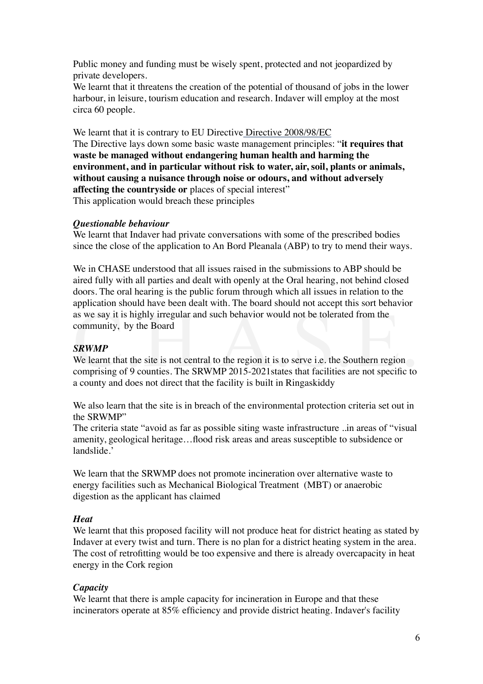Public money and funding must be wisely spent, protected and not jeopardized by private developers.

We learnt that it threatens the creation of the potential of thousand of jobs in the lower harbour, in leisure, tourism education and research. Indaver will employ at the most circa 60 people.

We learnt that it is contrary to EU Directive Directive 2008/98/EC

The Directive lays down some basic waste management principles: "**it requires that waste be managed without endangering human health and harming the environment, and in particular without risk to water, air, soil, plants or animals, without causing a nuisance through noise or odours, and without adversely affecting the countryside or** places of special interest" This application would breach these principles

## *Questionable behaviour*

We learnt that Indaver had private conversations with some of the prescribed bodies since the close of the application to An Bord Pleanala (ABP) to try to mend their ways.

We in CHASE understood that all issues raised in the submissions to ABP should be aired fully with all parties and dealt with openly at the Oral hearing, not behind closed doors. The oral hearing is the public forum through which all issues in relation to the application should have been dealt with. The board should not accept this sort behavior as we say it is highly irregular and such behavior would not be tolerated from the community, by the Board

## *SRWMP*

Example and such that when. The board should not decept this soft behavior<br>as we say it is highly irregular and such behavior would not be tolerated from the<br>community, by the Board<br>SRWMP<br>We learnt that the site is not cen We learnt that the site is not central to the region it is to serve i.e. the Southern region a county and does not direct that the facility is built in Ringaskiddy

We also learn that the site is in breach of the environmental protection criteria set out in the SRWMP"

The criteria state "avoid as far as possible siting waste infrastructure ..in areas of "visual amenity, geological heritage…flood risk areas and areas susceptible to subsidence or landslide.'

We learn that the SRWMP does not promote incineration over alternative waste to energy facilities such as Mechanical Biological Treatment (MBT) or anaerobic digestion as the applicant has claimed

## *Heat*

We learnt that this proposed facility will not produce heat for district heating as stated by Indaver at every twist and turn. There is no plan for a district heating system in the area. The cost of retrofitting would be too expensive and there is already overcapacity in heat energy in the Cork region

## *Capacity*

We learnt that there is ample capacity for incineration in Europe and that these incinerators operate at 85% efficiency and provide district heating. Indaver's facility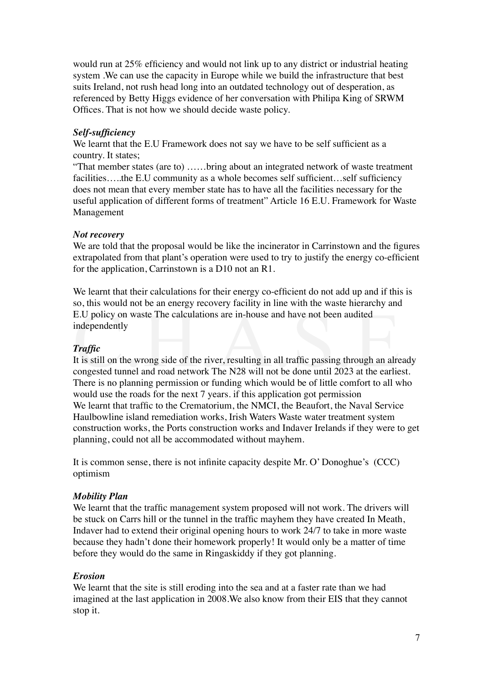would run at 25% efficiency and would not link up to any district or industrial heating system .We can use the capacity in Europe while we build the infrastructure that best suits Ireland, not rush head long into an outdated technology out of desperation, as referenced by Betty Higgs evidence of her conversation with Philipa King of SRWM Offices. That is not how we should decide waste policy.

#### *Self-sufficiency*

We learnt that the E.U Framework does not say we have to be self sufficient as a country. It states;

"That member states (are to) ……bring about an integrated network of waste treatment facilities....the E.U community as a whole becomes self sufficient...self sufficiency does not mean that every member state has to have all the facilities necessary for the useful application of different forms of treatment" Article 16 E.U. Framework for Waste Management

#### *Not recovery*

We are told that the proposal would be like the incinerator in Carrinstown and the figures extrapolated from that plant's operation were used to try to justify the energy co-efficient for the application, Carrinstown is a D10 not an R1.

We learnt that their calculations for their energy co-efficient do not add up and if this is so, this would not be an energy recovery facility in line with the waste hierarchy and E.U policy on waste The calculations are in-house and have not been audited independently

## *Traffic*

E.U policy on waste The calculations are in-house and have not been audited<br>independently<br>**Traffic**<br>It is still on the wrong side of the river, resulting in all traffic passing through an already<br>congested tunnel and road It is still on the wrong side of the river, resulting in all traffic passing through an already congested tunnel and road network The N28 will not be done until 2023 at the earliest. There is no planning permission or funding which would be of little comfort to all who would use the roads for the next 7 years. if this application got permission We learnt that traffic to the Crematorium, the NMCI, the Beaufort, the Naval Service Haulbowline island remediation works, Irish Waters Waste water treatment system construction works, the Ports construction works and Indaver Irelands if they were to get planning, could not all be accommodated without mayhem.

It is common sense, there is not infinite capacity despite Mr. O' Donoghue's (CCC) optimism

#### *Mobility Plan*

We learnt that the traffic management system proposed will not work. The drivers will be stuck on Carrs hill or the tunnel in the traffic mayhem they have created In Meath, Indaver had to extend their original opening hours to work 24/7 to take in more waste because they hadn't done their homework properly! It would only be a matter of time before they would do the same in Ringaskiddy if they got planning.

#### *Erosion*

We learnt that the site is still eroding into the sea and at a faster rate than we had imagined at the last application in 2008.We also know from their EIS that they cannot stop it.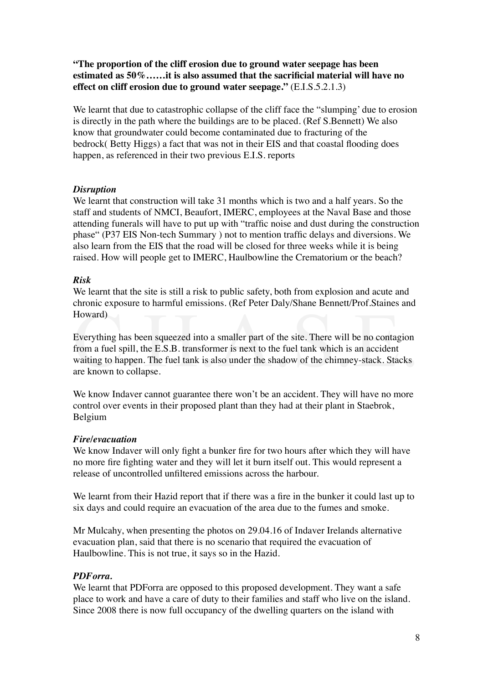**"The proportion of the cliff erosion due to ground water seepage has been estimated as 50%……it is also assumed that the sacrificial material will have no effect on cliff erosion due to ground water seepage."** (E.I.S.5.2.1.3)

We learnt that due to catastrophic collapse of the cliff face the "slumping' due to erosion is directly in the path where the buildings are to be placed. (Ref S.Bennett) We also know that groundwater could become contaminated due to fracturing of the bedrock( Betty Higgs) a fact that was not in their EIS and that coastal flooding does happen, as referenced in their two previous E.I.S. reports

## *Disruption*

We learnt that construction will take 31 months which is two and a half years. So the staff and students of NMCI, Beaufort, IMERC, employees at the Naval Base and those attending funerals will have to put up with "traffic noise and dust during the construction phase" (P37 EIS Non-tech Summary ) not to mention traffic delays and diversions. We also learn from the EIS that the road will be closed for three weeks while it is being raised. How will people get to IMERC, Haulbowline the Crematorium or the beach?

## *Risk*

We learnt that the site is still a risk to public safety, both from explosion and acute and chronic exposure to harmful emissions. (Ref Peter Daly/Shane Bennett/Prof.Staines and Howard)

Howard)<br>Everything has been squeezed into a smaller part of the site. There will be no contagion<br>from a fuel spill, the E.S.B. transformer is next to the fuel tank which is an accident<br>waiting to happen. The fuel tank is a Everything has been squeezed into a smaller part of the site. There will be no contagion from a fuel spill, the E.S.B. transformer is next to the fuel tank which is an accident waiting to happen. The fuel tank is also under the shadow of the chimney-stack. Stacks are known to collapse.

We know Indaver cannot guarantee there won't be an accident. They will have no more control over events in their proposed plant than they had at their plant in Staebrok, Belgium

## *Fire/evacuation*

We know Indaver will only fight a bunker fire for two hours after which they will have no more fire fighting water and they will let it burn itself out. This would represent a release of uncontrolled unfiltered emissions across the harbour.

We learnt from their Hazid report that if there was a fire in the bunker it could last up to six days and could require an evacuation of the area due to the fumes and smoke.

Mr Mulcahy, when presenting the photos on 29.04.16 of Indaver Irelands alternative evacuation plan, said that there is no scenario that required the evacuation of Haulbowline. This is not true, it says so in the Hazid.

## *PDForra.*

We learnt that PDF orra are opposed to this proposed development. They want a safe place to work and have a care of duty to their families and staff who live on the island. Since 2008 there is now full occupancy of the dwelling quarters on the island with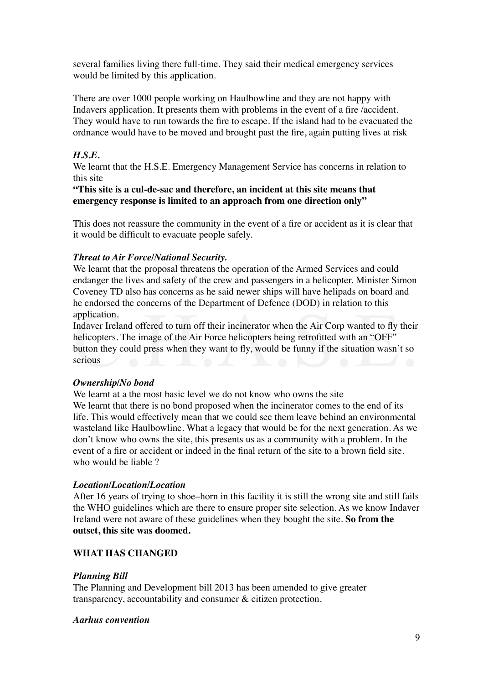several families living there full-time. They said their medical emergency services would be limited by this application.

There are over 1000 people working on Haulbowline and they are not happy with Indavers application. It presents them with problems in the event of a fire /accident. They would have to run towards the fire to escape. If the island had to be evacuated the ordnance would have to be moved and brought past the fire, again putting lives at risk

# *H.S.E.*

We learnt that the H.S.E. Emergency Management Service has concerns in relation to this site

**"This site is a cul-de-sac and therefore, an incident at this site means that emergency response is limited to an approach from one direction only"**

This does not reassure the community in the event of a fire or accident as it is clear that it would be difficult to evacuate people safely.

## *Threat to Air Force/National Security.*

We learnt that the proposal threatens the operation of the Armed Services and could endanger the lives and safety of the crew and passengers in a helicopter. Minister Simon Coveney TD also has concerns as he said newer ships will have helipads on board and he endorsed the concerns of the Department of Defence (DOD) in relation to this application.

application.<br>Indaver Ireland offered to turn off their incinerator when the Air Corp wanted to fly their<br>helicopters. The image of the Air Force helicopters being retrofitted with an "OFF"<br>button they could press when they Indaver Ireland offered to turn off their incinerator when the Air Corp wanted to fly their helicopters. The image of the Air Force helicopters being retrofitted with an "OFF" button they could press when they want to fly, would be funny if the situation wasn't so serious

## *Ownership/No bond*

We learnt at a the most basic level we do not know who owns the site We learnt that there is no bond proposed when the incinerator comes to the end of its life. This would effectively mean that we could see them leave behind an environmental wasteland like Haulbowline. What a legacy that would be for the next generation. As we don't know who owns the site, this presents us as a community with a problem. In the event of a fire or accident or indeed in the final return of the site to a brown field site. who would be liable ?

## *Location/Location/Location*

After 16 years of trying to shoe–horn in this facility it is still the wrong site and still fails the WHO guidelines which are there to ensure proper site selection. As we know Indaver Ireland were not aware of these guidelines when they bought the site. **So from the outset, this site was doomed.**

## **WHAT HAS CHANGED**

## *Planning Bill*

The Planning and Development bill 2013 has been amended to give greater transparency, accountability and consumer & citizen protection.

## *Aarhus convention*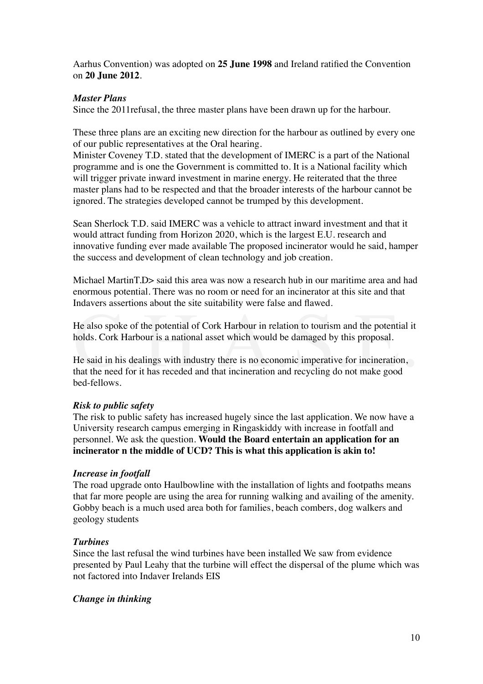Aarhus Convention) was adopted on **25 June 1998** and Ireland ratified the Convention on **20 June 2012**.

## *Master Plans*

Since the 2011refusal, the three master plans have been drawn up for the harbour.

These three plans are an exciting new direction for the harbour as outlined by every one of our public representatives at the Oral hearing.

Minister Coveney T.D. stated that the development of IMERC is a part of the National programme and is one the Government is committed to. It is a National facility which will trigger private inward investment in marine energy. He reiterated that the three master plans had to be respected and that the broader interests of the harbour cannot be ignored. The strategies developed cannot be trumped by this development.

Sean Sherlock T.D. said IMERC was a vehicle to attract inward investment and that it would attract funding from Horizon 2020, which is the largest E.U. research and innovative funding ever made available The proposed incinerator would he said, hamper the success and development of clean technology and job creation.

Michael MartinT.D> said this area was now a research hub in our maritime area and had enormous potential. There was no room or need for an incinerator at this site and that Indavers assertions about the site suitability were false and flawed.

He also spoke of the potential of Cork Harbour in relation to tourism and the potential it holds. Cork Harbour is a national asset which would be damaged by this proposal.

He also spoke of the potential of Cork Harbour in relation to tourism and the potential it<br>holds. Cork Harbour is a national asset which would be damaged by this proposal.<br>He said in his dealings with industry there is no He said in his dealings with industry there is no economic imperative for incineration, that the need for it has receded and that incineration and recycling do not make good bed-fellows.

## *Risk to public safety*

The risk to public safety has increased hugely since the last application. We now have a University research campus emerging in Ringaskiddy with increase in footfall and personnel. We ask the question. **Would the Board entertain an application for an incinerator n the middle of UCD? This is what this application is akin to!**

## *Increase in footfall*

The road upgrade onto Haulbowline with the installation of lights and footpaths means that far more people are using the area for running walking and availing of the amenity. Gobby beach is a much used area both for families, beach combers, dog walkers and geology students

## *Turbines*

Since the last refusal the wind turbines have been installed We saw from evidence presented by Paul Leahy that the turbine will effect the dispersal of the plume which was not factored into Indaver Irelands EIS

## *Change in thinking*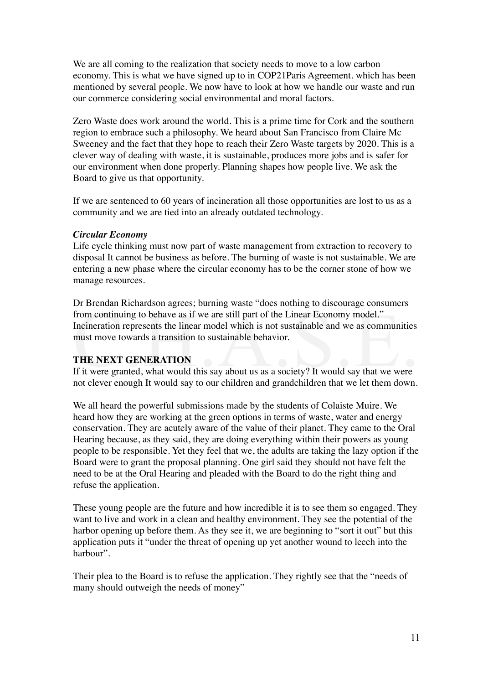We are all coming to the realization that society needs to move to a low carbon economy. This is what we have signed up to in COP21Paris Agreement. which has been mentioned by several people. We now have to look at how we handle our waste and run our commerce considering social environmental and moral factors.

Zero Waste does work around the world. This is a prime time for Cork and the southern region to embrace such a philosophy. We heard about San Francisco from Claire Mc Sweeney and the fact that they hope to reach their Zero Waste targets by 2020. This is a clever way of dealing with waste, it is sustainable, produces more jobs and is safer for our environment when done properly. Planning shapes how people live. We ask the Board to give us that opportunity.

If we are sentenced to 60 years of incineration all those opportunities are lost to us as a community and we are tied into an already outdated technology.

## *Circular Economy*

Life cycle thinking must now part of waste management from extraction to recovery to disposal It cannot be business as before. The burning of waste is not sustainable. We are entering a new phase where the circular economy has to be the corner stone of how we manage resources.

Example in continuing to behave as if we are still part of the Linear Economy model."<br>Incineration represents the linear model which is not sustainable and we as communities<br>must move towards a transition to sustainable be Dr Brendan Richardson agrees; burning waste "does nothing to discourage consumers from continuing to behave as if we are still part of the Linear Economy model." Incineration represents the linear model which is not sustainable and we as communities must move towards a transition to sustainable behavior.

## **THE NEXT GENERATION**

If it were granted, what would this say about us as a society? It would say that we were not clever enough It would say to our children and grandchildren that we let them down.

We all heard the powerful submissions made by the students of Colaiste Muire. We heard how they are working at the green options in terms of waste, water and energy conservation. They are acutely aware of the value of their planet. They came to the Oral Hearing because, as they said, they are doing everything within their powers as young people to be responsible. Yet they feel that we, the adults are taking the lazy option if the Board were to grant the proposal planning. One girl said they should not have felt the need to be at the Oral Hearing and pleaded with the Board to do the right thing and refuse the application.

These young people are the future and how incredible it is to see them so engaged. They want to live and work in a clean and healthy environment. They see the potential of the harbor opening up before them. As they see it, we are beginning to "sort it out" but this application puts it "under the threat of opening up yet another wound to leech into the harbour".

Their plea to the Board is to refuse the application. They rightly see that the "needs of many should outweigh the needs of money"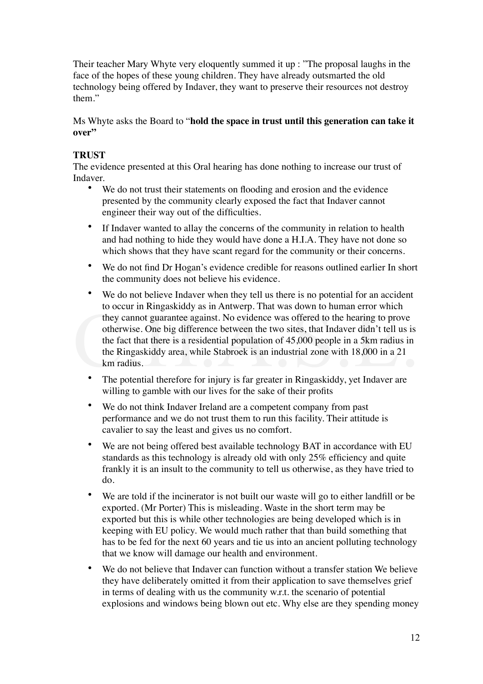Their teacher Mary Whyte very eloquently summed it up : "The proposal laughs in the face of the hopes of these young children. They have already outsmarted the old technology being offered by Indaver, they want to preserve their resources not destroy them."

## Ms Whyte asks the Board to "**hold the space in trust until this generation can take it**  over"

# **TRUST**

The evidence presented at this Oral hearing has done nothing to increase our trust of Indaver.

- We do not trust their statements on flooding and erosion and the evidence presented by the community clearly exposed the fact that Indaver cannot engineer their way out of the difficulties.
- If Indaver wanted to allay the concerns of the community in relation to health and had nothing to hide they would have done a H.I.A. They have not done so which shows that they have scant regard for the community or their concerns.
- We do not find Dr Hogan's evidence credible for reasons outlined earlier In short the community does not believe his evidence.
- to occur in Ringaskiddy as in Antwerp. I hat was down to human error which<br>they cannot guarantee against. No evidence was offered to the hearing to prove<br>otherwise. One big difference between the two sites, that Indaver di We do not believe Indaver when they tell us there is no potential for an accident to occur in Ringaskiddy as in Antwerp. That was down to human error which they cannot guarantee against. No evidence was offered to the hearing to prove otherwise. One big difference between the two sites, that Indaver didn't tell us is the fact that there is a residential population of 45,000 people in a 5km radius in the Ringaskiddy area, while Stabroek is an industrial zone with 18,000 in a 21 km radius.
	- The potential therefore for injury is far greater in Ringaskiddy, yet Indaver are willing to gamble with our lives for the sake of their profits
	- We do not think Indaver Ireland are a competent company from past performance and we do not trust them to run this facility. Their attitude is cavalier to say the least and gives us no comfort.
	- We are not being offered best available technology BAT in accordance with EU standards as this technology is already old with only 25% efficiency and quite frankly it is an insult to the community to tell us otherwise, as they have tried to do.
	- We are told if the incinerator is not built our waste will go to either landfill or be exported. (Mr Porter) This is misleading. Waste in the short term may be exported but this is while other technologies are being developed which is in keeping with EU policy. We would much rather that than build something that has to be fed for the next 60 years and tie us into an ancient polluting technology that we know will damage our health and environment.
	- We do not believe that Indaver can function without a transfer station We believe they have deliberately omitted it from their application to save themselves grief in terms of dealing with us the community w.r.t. the scenario of potential explosions and windows being blown out etc. Why else are they spending money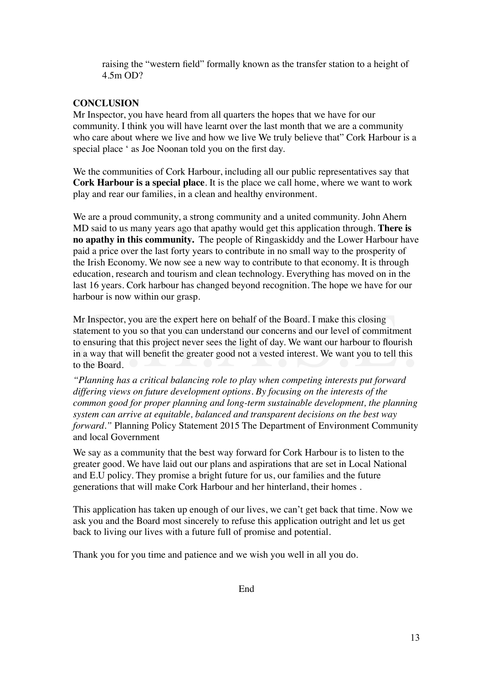raising the "western field" formally known as the transfer station to a height of 4.5m OD?

## **CONCLUSION**

Mr Inspector, you have heard from all quarters the hopes that we have for our community. I think you will have learnt over the last month that we are a community who care about where we live and how we live We truly believe that" Cork Harbour is a special place ' as Joe Noonan told you on the first day.

We the communities of Cork Harbour, including all our public representatives say that **Cork Harbour is a special place**. It is the place we call home, where we want to work play and rear our families, in a clean and healthy environment.

We are a proud community, a strong community and a united community. John Ahern MD said to us many years ago that apathy would get this application through. **There is no apathy in this community.** The people of Ringaskiddy and the Lower Harbour have paid a price over the last forty years to contribute in no small way to the prosperity of the Irish Economy. We now see a new way to contribute to that economy. It is through education, research and tourism and clean technology. Everything has moved on in the last 16 years. Cork harbour has changed beyond recognition. The hope we have for our harbour is now within our grasp.

Mr Inspector, you are the expert here on behalf of the Board. I make this closing<br>statement to you so that you can understand our concerns and our level of commitment<br>to ensuring that this project never sees the light of d Mr Inspector, you are the expert here on behalf of the Board. I make this closing statement to you so that you can understand our concerns and our level of commitment to ensuring that this project never sees the light of day. We want our harbour to flourish in a way that will benefit the greater good not a vested interest. We want you to tell this to the Board.

*"Planning has a critical balancing role to play when competing interests put forward differing views on future development options. By focusing on the interests of the common good for proper planning and long-term sustainable development, the planning system can arrive at equitable, balanced and transparent decisions on the best way forward.*" Planning Policy Statement 2015 The Department of Environment Community and local Government

We say as a community that the best way forward for Cork Harbour is to listen to the greater good. We have laid out our plans and aspirations that are set in Local National and E.U policy. They promise a bright future for us, our families and the future generations that will make Cork Harbour and her hinterland, their homes .

This application has taken up enough of our lives, we can't get back that time. Now we ask you and the Board most sincerely to refuse this application outright and let us get back to living our lives with a future full of promise and potential.

Thank you for you time and patience and we wish you well in all you do.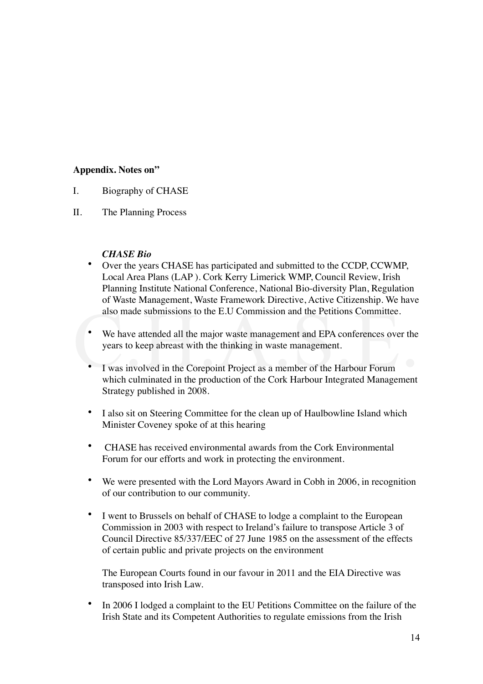## **Appendix. Notes on"**

- I. Biography of CHASE
- II. The Planning Process

- *CHASE Bio*<br>• Over the year • Over the years CHASE has participated and submitted to the CCDP, CCWMP, Local Area Plans (LAP ). Cork Kerry Limerick WMP, Council Review, Irish Planning Institute National Conference, National Bio-diversity Plan, Regulation of Waste Management, Waste Framework Directive, Active Citizenship. We have also made submissions to the E.U Commission and the Petitions Committee.
- Solution and the Petitions Committee.<br>
We have attended all the major waste management and EPA conferences over the years to keep abreast with the thinking in waste management.<br>
I was involved in the Corepoint Project • We have attended all the major waste management and EPA conferences over the years to keep abreast with the thinking in waste management.
	- I was involved in the Corepoint Project as a member of the Harbour Forum which culminated in the production of the Cork Harbour Integrated Management Strategy published in 2008.
	- I also sit on Steering Committee for the clean up of Haulbowline Island which Minister Coveney spoke of at this hearing
	- CHASE has received environmental awards from the Cork Environmental Forum for our efforts and work in protecting the environment.
	- We were presented with the Lord Mayors Award in Cobh in 2006, in recognition of our contribution to our community.
	- I went to Brussels on behalf of CHASE to lodge a complaint to the European Commission in 2003 with respect to Ireland's failure to transpose Article 3 of Council Directive 85/337/EEC of 27 June 1985 on the assessment of the effects of certain public and private projects on the environment

The European Courts found in our favour in 2011 and the EIA Directive was transposed into Irish Law.

In 2006 I lodged a complaint to the EU Petitions Committee on the failure of the Irish State and its Competent Authorities to regulate emissions from the Irish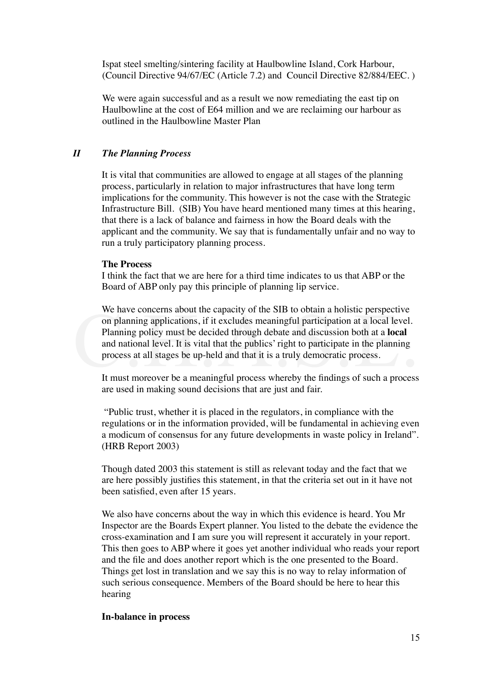Ispat steel smelting/sintering facility at Haulbowline Island, Cork Harbour, (Council Directive 94/67/EC (Article 7.2) and Council Directive 82/884/EEC. )

We were again successful and as a result we now remediating the east tip on Haulbowline at the cost of E64 million and we are reclaiming our harbour as outlined in the Haulbowline Master Plan

## *II The Planning Process*

It is vital that communities are allowed to engage at all stages of the planning process, particularly in relation to major infrastructures that have long term implications for the community. This however is not the case with the Strategic Infrastructure Bill. (SIB) You have heard mentioned many times at this hearing, that there is a lack of balance and fairness in how the Board deals with the applicant and the community. We say that is fundamentally unfair and no way to run a truly participatory planning process.

#### **The Process**

I think the fact that we are here for a third time indicates to us that ABP or the Board of ABP only pay this principle of planning lip service.

We have concerns about the capacity of the SIB to obtain a holistic perspective<br>on planning applications, if it excludes meaningful participation at a local level.<br>Planning policy must be decided through debate and discuss We have concerns about the capacity of the SIB to obtain a holistic perspective on planning applications, if it excludes meaningful participation at a local level. Planning policy must be decided through debate and discussion both at a **local**  and national level. It is vital that the publics' right to participate in the planning process at all stages be up-held and that it is a truly democratic process.

It must moreover be a meaningful process whereby the findings of such a process are used in making sound decisions that are just and fair.

 "Public trust, whether it is placed in the regulators, in compliance with the regulations or in the information provided, will be fundamental in achieving even a modicum of consensus for any future developments in waste policy in Ireland". (HRB Report 2003)

Though dated 2003 this statement is still as relevant today and the fact that we are here possibly justifies this statement, in that the criteria set out in it have not been satisfied, even after 15 years.

We also have concerns about the way in which this evidence is heard. You Mr Inspector are the Boards Expert planner. You listed to the debate the evidence the cross-examination and I am sure you will represent it accurately in your report. This then goes to ABP where it goes yet another individual who reads your report and the file and does another report which is the one presented to the Board. Things get lost in translation and we say this is no way to relay information of such serious consequence. Members of the Board should be here to hear this hearing

#### **In-balance in process**